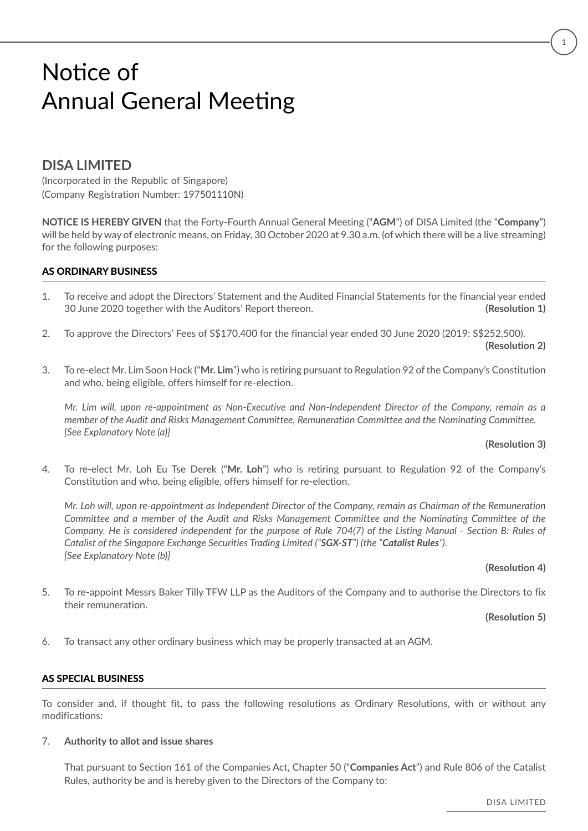### **DISA LIMITED**

(Incorporated in the Republic of Singapore) (Company Registration Number: 197501110N)

**NOTICE IS HEREBY GIVEN** that the Forty-Fourth Annual General Meeting ("**AGM**") of DISA Limited (the "**Company**") will be held by way of electronic means, on Friday, 30 October 2020 at 9.30 a.m. (of which there will be a live streaming) for the following purposes:

### AS ORDINARY BUSINESS

- 1. To receive and adopt the Directors' Statement and the Audited Financial Statements for the financial year ended 30 June 2020 together with the Auditors' Report thereon. **(Resolution 1)**
- 2. To approve the Directors' Fees of S\$170,400 for the financial year ended 30 June 2020 (2019: S\$252,500).

**(Resolution 2)**

3. To re-elect Mr. Lim Soon Hock ("**Mr. Lim**") who is retiring pursuant to Regulation 92 of the Company's Constitution and who, being eligible, offers himself for re-election.

*Mr. Lim will, upon re-appointment as Non-Executive and Non-Independent Director of the Company, remain as a member of the Audit and Risks Management Committee, Remuneration Committee and the Nominating Committee. [See Explanatory Note (a)]*

#### **(Resolution 3)**

4. To re-elect Mr. Loh Eu Tse Derek ("**Mr. Loh**") who is retiring pursuant to Regulation 92 of the Company's Constitution and who, being eligible, offers himself for re-election.

*Mr. Loh will, upon re-appointment as Independent Director of the Company, remain as Chairman of the Remuneration Committee and a member of the Audit and Risks Management Committee and the Nominating Committee of the Company. He is considered independent for the purpose of Rule 704(7) of the Listing Manual - Section B: Rules of Catalist of the Singapore Exchange Securities Trading Limited ("SGX-ST") (the "Catalist Rules"). [See Explanatory Note (b)]*

#### **(Resolution 4)**

5. To re-appoint Messrs Baker Tilly TFW LLP as the Auditors of the Company and to authorise the Directors to fix their remuneration.

**(Resolution 5)**

6. To transact any other ordinary business which may be properly transacted at an AGM.

### AS SPECIAL BUSINESS

To consider and, if thought fit, to pass the following resolutions as Ordinary Resolutions, with or without any modifications:

#### 7. **Authority to allot and issue shares**

That pursuant to Section 161 of the Companies Act, Chapter 50 ("**Companies Act**") and Rule 806 of the Catalist Rules, authority be and is hereby given to the Directors of the Company to: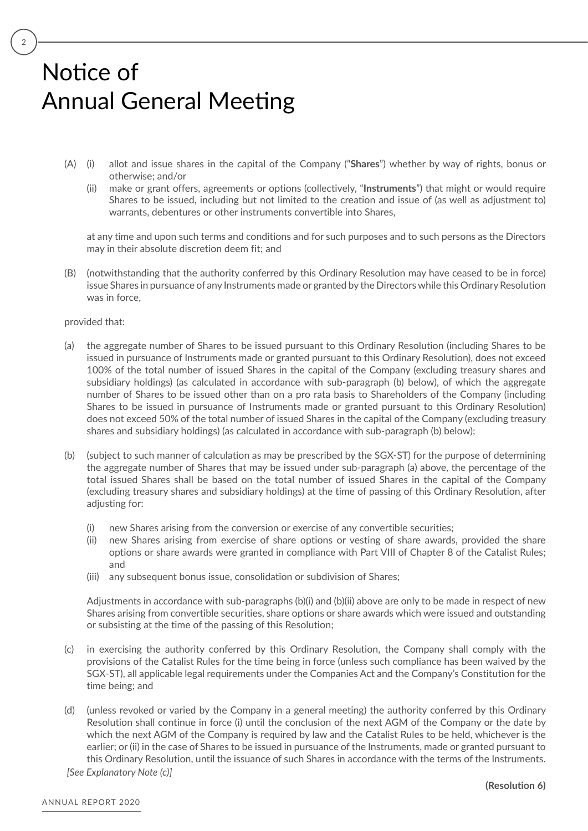- (A) (i) allot and issue shares in the capital of the Company ("**Shares**") whether by way of rights, bonus or otherwise; and/or
	- (ii) make or grant offers, agreements or options (collectively, "**Instruments**") that might or would require Shares to be issued, including but not limited to the creation and issue of (as well as adjustment to) warrants, debentures or other instruments convertible into Shares,

at any time and upon such terms and conditions and for such purposes and to such persons as the Directors may in their absolute discretion deem fit; and

(B) (notwithstanding that the authority conferred by this Ordinary Resolution may have ceased to be in force) issue Shares in pursuance of any Instruments made or granted by the Directors while this Ordinary Resolution was in force,

#### provided that:

- (a) the aggregate number of Shares to be issued pursuant to this Ordinary Resolution (including Shares to be issued in pursuance of Instruments made or granted pursuant to this Ordinary Resolution), does not exceed 100% of the total number of issued Shares in the capital of the Company (excluding treasury shares and subsidiary holdings) (as calculated in accordance with sub-paragraph (b) below), of which the aggregate number of Shares to be issued other than on a pro rata basis to Shareholders of the Company (including Shares to be issued in pursuance of Instruments made or granted pursuant to this Ordinary Resolution) does not exceed 50% of the total number of issued Shares in the capital of the Company (excluding treasury shares and subsidiary holdings) (as calculated in accordance with sub-paragraph (b) below);
- (b) (subject to such manner of calculation as may be prescribed by the SGX-ST) for the purpose of determining the aggregate number of Shares that may be issued under sub-paragraph (a) above, the percentage of the total issued Shares shall be based on the total number of issued Shares in the capital of the Company (excluding treasury shares and subsidiary holdings) at the time of passing of this Ordinary Resolution, after adjusting for:
	- (i) new Shares arising from the conversion or exercise of any convertible securities;
	- (ii) new Shares arising from exercise of share options or vesting of share awards, provided the share options or share awards were granted in compliance with Part VIII of Chapter 8 of the Catalist Rules; and
	- (iii) any subsequent bonus issue, consolidation or subdivision of Shares;

Adjustments in accordance with sub-paragraphs (b)(i) and (b)(ii) above are only to be made in respect of new Shares arising from convertible securities, share options or share awards which were issued and outstanding or subsisting at the time of the passing of this Resolution;

- (c) in exercising the authority conferred by this Ordinary Resolution, the Company shall comply with the provisions of the Catalist Rules for the time being in force (unless such compliance has been waived by the SGX-ST), all applicable legal requirements under the Companies Act and the Company's Constitution for the time being; and
- (d) (unless revoked or varied by the Company in a general meeting) the authority conferred by this Ordinary Resolution shall continue in force (i) until the conclusion of the next AGM of the Company or the date by which the next AGM of the Company is required by law and the Catalist Rules to be held, whichever is the earlier; or (ii) in the case of Shares to be issued in pursuance of the Instruments, made or granted pursuant to this Ordinary Resolution, until the issuance of such Shares in accordance with the terms of the Instruments. *[See Explanatory Note (c)]*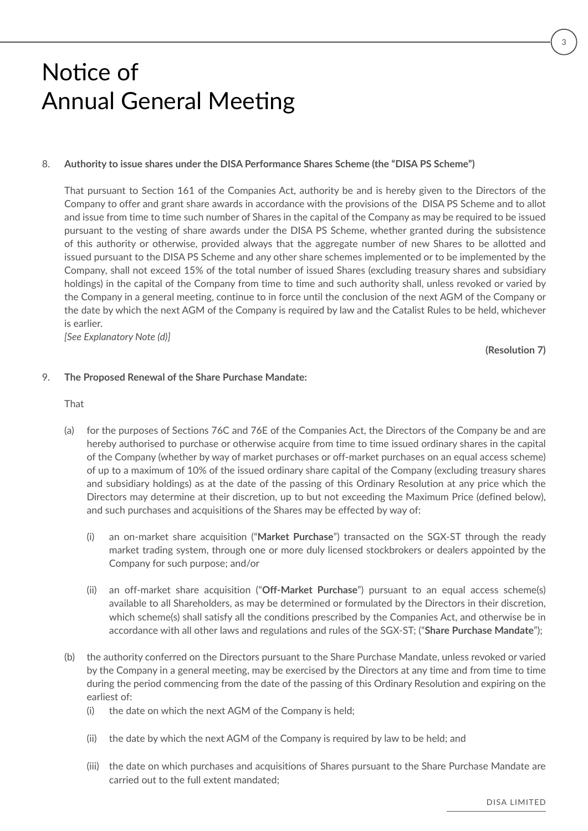#### 8. **Authority to issue shares under the DISA Performance Shares Scheme (the "DISA PS Scheme")**

That pursuant to Section 161 of the Companies Act, authority be and is hereby given to the Directors of the Company to offer and grant share awards in accordance with the provisions of the DISA PS Scheme and to allot and issue from time to time such number of Shares in the capital of the Company as may be required to be issued pursuant to the vesting of share awards under the DISA PS Scheme, whether granted during the subsistence of this authority or otherwise, provided always that the aggregate number of new Shares to be allotted and issued pursuant to the DISA PS Scheme and any other share schemes implemented or to be implemented by the Company, shall not exceed 15% of the total number of issued Shares (excluding treasury shares and subsidiary holdings) in the capital of the Company from time to time and such authority shall, unless revoked or varied by the Company in a general meeting, continue to in force until the conclusion of the next AGM of the Company or the date by which the next AGM of the Company is required by law and the Catalist Rules to be held, whichever is earlier.

*[See Explanatory Note (d)]*

**(Resolution 7)**

#### 9. **The Proposed Renewal of the Share Purchase Mandate:**

That

- (a) for the purposes of Sections 76C and 76E of the Companies Act, the Directors of the Company be and are hereby authorised to purchase or otherwise acquire from time to time issued ordinary shares in the capital of the Company (whether by way of market purchases or off-market purchases on an equal access scheme) of up to a maximum of 10% of the issued ordinary share capital of the Company (excluding treasury shares and subsidiary holdings) as at the date of the passing of this Ordinary Resolution at any price which the Directors may determine at their discretion, up to but not exceeding the Maximum Price (defined below), and such purchases and acquisitions of the Shares may be effected by way of:
	- (i) an on-market share acquisition ("**Market Purchase**") transacted on the SGX-ST through the ready market trading system, through one or more duly licensed stockbrokers or dealers appointed by the Company for such purpose; and/or
	- (ii) an off-market share acquisition ("**Off-Market Purchase**") pursuant to an equal access scheme(s) available to all Shareholders, as may be determined or formulated by the Directors in their discretion, which scheme(s) shall satisfy all the conditions prescribed by the Companies Act, and otherwise be in accordance with all other laws and regulations and rules of the SGX-ST; ("**Share Purchase Mandate**");
- (b) the authority conferred on the Directors pursuant to the Share Purchase Mandate, unless revoked or varied by the Company in a general meeting, may be exercised by the Directors at any time and from time to time during the period commencing from the date of the passing of this Ordinary Resolution and expiring on the earliest of:
	- (i) the date on which the next AGM of the Company is held;
	- (ii) the date by which the next AGM of the Company is required by law to be held; and
	- (iii) the date on which purchases and acquisitions of Shares pursuant to the Share Purchase Mandate are carried out to the full extent mandated;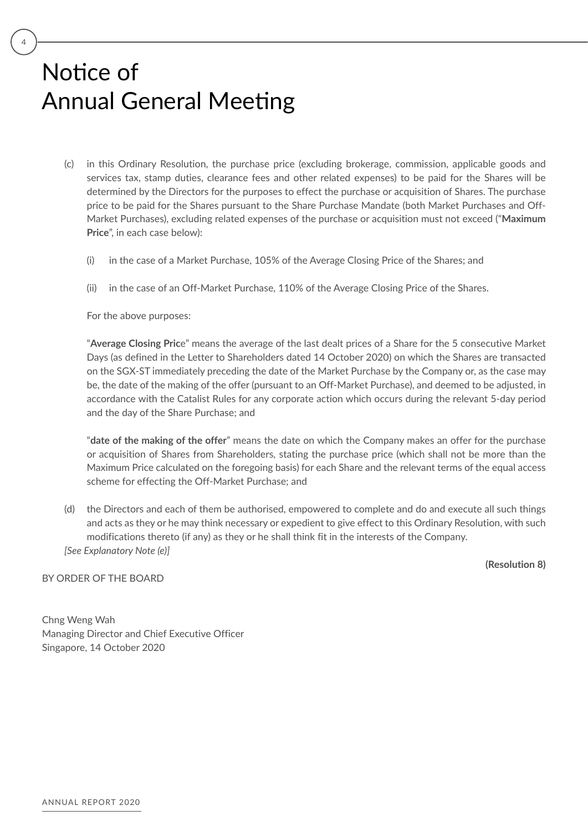- (c) in this Ordinary Resolution, the purchase price (excluding brokerage, commission, applicable goods and services tax, stamp duties, clearance fees and other related expenses) to be paid for the Shares will be determined by the Directors for the purposes to effect the purchase or acquisition of Shares. The purchase price to be paid for the Shares pursuant to the Share Purchase Mandate (both Market Purchases and Off-Market Purchases), excluding related expenses of the purchase or acquisition must not exceed ("**Maximum Price**", in each case below):
	- (i) in the case of a Market Purchase, 105% of the Average Closing Price of the Shares; and
	- (ii) in the case of an Off-Market Purchase, 110% of the Average Closing Price of the Shares.

For the above purposes:

"**Average Closing Pric**e" means the average of the last dealt prices of a Share for the 5 consecutive Market Days (as defined in the Letter to Shareholders dated 14 October 2020) on which the Shares are transacted on the SGX-ST immediately preceding the date of the Market Purchase by the Company or, as the case may be, the date of the making of the offer (pursuant to an Off-Market Purchase), and deemed to be adjusted, in accordance with the Catalist Rules for any corporate action which occurs during the relevant 5-day period and the day of the Share Purchase; and

"**date of the making of the offer**" means the date on which the Company makes an offer for the purchase or acquisition of Shares from Shareholders, stating the purchase price (which shall not be more than the Maximum Price calculated on the foregoing basis) for each Share and the relevant terms of the equal access scheme for effecting the Off-Market Purchase; and

(d) the Directors and each of them be authorised, empowered to complete and do and execute all such things and acts as they or he may think necessary or expedient to give effect to this Ordinary Resolution, with such modifications thereto (if any) as they or he shall think fit in the interests of the Company. *[See Explanatory Note (e)]*

**(Resolution 8)**

BY ORDER OF THE BOARD

Chng Weng Wah Managing Director and Chief Executive Officer Singapore, 14 October 2020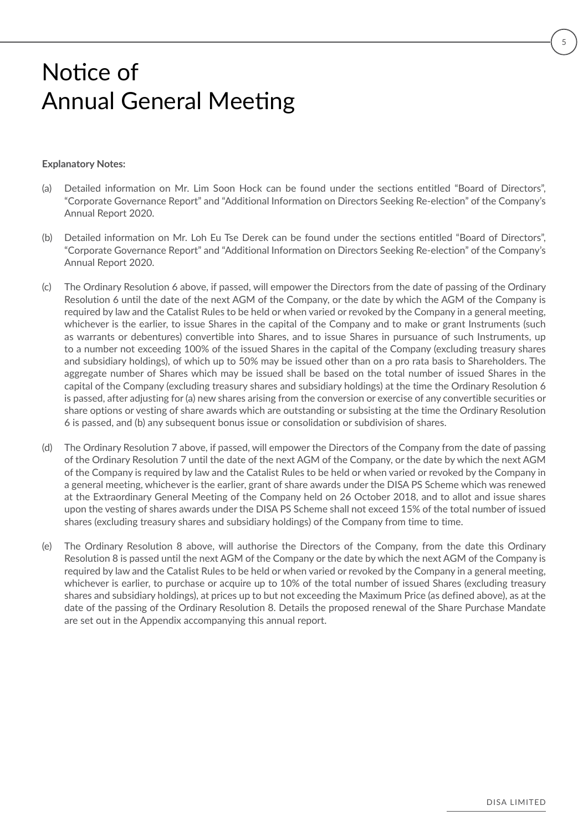#### **Explanatory Notes:**

- (a) Detailed information on Mr. Lim Soon Hock can be found under the sections entitled "Board of Directors", "Corporate Governance Report" and "Additional Information on Directors Seeking Re-election" of the Company's Annual Report 2020.
- (b) Detailed information on Mr. Loh Eu Tse Derek can be found under the sections entitled "Board of Directors", "Corporate Governance Report" and "Additional Information on Directors Seeking Re-election" of the Company's Annual Report 2020.
- (c) The Ordinary Resolution 6 above, if passed, will empower the Directors from the date of passing of the Ordinary Resolution 6 until the date of the next AGM of the Company, or the date by which the AGM of the Company is required by law and the Catalist Rules to be held or when varied or revoked by the Company in a general meeting, whichever is the earlier, to issue Shares in the capital of the Company and to make or grant Instruments (such as warrants or debentures) convertible into Shares, and to issue Shares in pursuance of such Instruments, up to a number not exceeding 100% of the issued Shares in the capital of the Company (excluding treasury shares and subsidiary holdings), of which up to 50% may be issued other than on a pro rata basis to Shareholders. The aggregate number of Shares which may be issued shall be based on the total number of issued Shares in the capital of the Company (excluding treasury shares and subsidiary holdings) at the time the Ordinary Resolution 6 is passed, after adjusting for (a) new shares arising from the conversion or exercise of any convertible securities or share options or vesting of share awards which are outstanding or subsisting at the time the Ordinary Resolution 6 is passed, and (b) any subsequent bonus issue or consolidation or subdivision of shares.
- (d) The Ordinary Resolution 7 above, if passed, will empower the Directors of the Company from the date of passing of the Ordinary Resolution 7 until the date of the next AGM of the Company, or the date by which the next AGM of the Company is required by law and the Catalist Rules to be held or when varied or revoked by the Company in a general meeting, whichever is the earlier, grant of share awards under the DISA PS Scheme which was renewed at the Extraordinary General Meeting of the Company held on 26 October 2018, and to allot and issue shares upon the vesting of shares awards under the DISA PS Scheme shall not exceed 15% of the total number of issued shares (excluding treasury shares and subsidiary holdings) of the Company from time to time.
- (e) The Ordinary Resolution 8 above, will authorise the Directors of the Company, from the date this Ordinary Resolution 8 is passed until the next AGM of the Company or the date by which the next AGM of the Company is required by law and the Catalist Rules to be held or when varied or revoked by the Company in a general meeting, whichever is earlier, to purchase or acquire up to 10% of the total number of issued Shares (excluding treasury shares and subsidiary holdings), at prices up to but not exceeding the Maximum Price (as defined above), as at the date of the passing of the Ordinary Resolution 8. Details the proposed renewal of the Share Purchase Mandate are set out in the Appendix accompanying this annual report.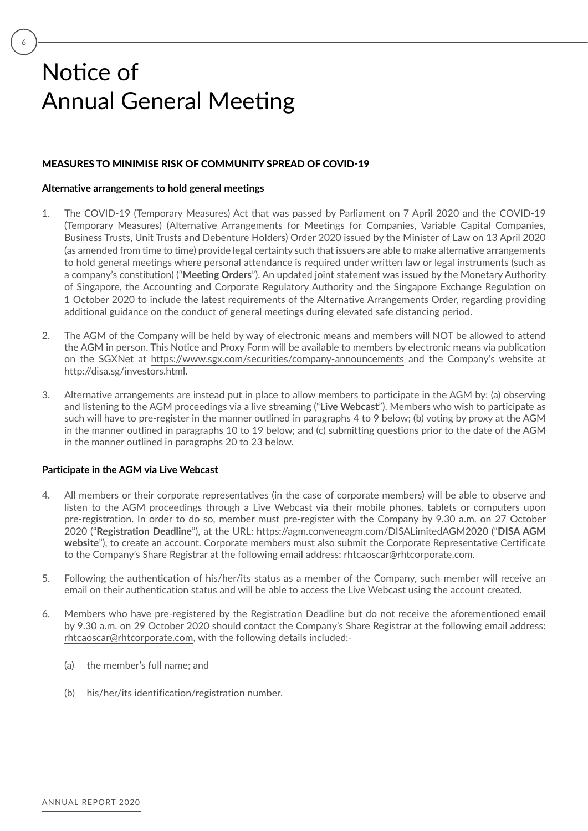6

### MEASURES TO MINIMISE RISK OF COMMUNITY SPREAD OF COVID-19

#### **Alternative arrangements to hold general meetings**

- 1. The COVID-19 (Temporary Measures) Act that was passed by Parliament on 7 April 2020 and the COVID-19 (Temporary Measures) (Alternative Arrangements for Meetings for Companies, Variable Capital Companies, Business Trusts, Unit Trusts and Debenture Holders) Order 2020 issued by the Minister of Law on 13 April 2020 (as amended from time to time) provide legal certainty such that issuers are able to make alternative arrangements to hold general meetings where personal attendance is required under written law or legal instruments (such as a company's constitution) ("**Meeting Orders**"). An updated joint statement was issued by the Monetary Authority of Singapore, the Accounting and Corporate Regulatory Authority and the Singapore Exchange Regulation on 1 October 2020 to include the latest requirements of the Alternative Arrangements Order, regarding providing additional guidance on the conduct of general meetings during elevated safe distancing period.
- 2. The AGM of the Company will be held by way of electronic means and members will NOT be allowed to attend the AGM in person. This Notice and Proxy Form will be available to members by electronic means via publication on the SGXNet at https://www.sgx.com/securities/company-announcements and the Company's website at http://disa.sg/investors.html.
- 3. Alternative arrangements are instead put in place to allow members to participate in the AGM by: (a) observing and listening to the AGM proceedings via a live streaming ("**Live Webcast**"). Members who wish to participate as such will have to pre-register in the manner outlined in paragraphs 4 to 9 below; (b) voting by proxy at the AGM in the manner outlined in paragraphs 10 to 19 below; and (c) submitting questions prior to the date of the AGM in the manner outlined in paragraphs 20 to 23 below.

#### **Participate in the AGM via Live Webcast**

- 4. All members or their corporate representatives (in the case of corporate members) will be able to observe and listen to the AGM proceedings through a Live Webcast via their mobile phones, tablets or computers upon pre-registration. In order to do so, member must pre-register with the Company by 9.30 a.m. on 27 October 2020 ("**Registration Deadline**"), at the URL: https://agm.conveneagm.com/DISALimitedAGM2020 ("**DISA AGM website**"), to create an account. Corporate members must also submit the Corporate Representative Certificate to the Company's Share Registrar at the following email address: rhtcaoscar@rhtcorporate.com.
- 5. Following the authentication of his/her/its status as a member of the Company, such member will receive an email on their authentication status and will be able to access the Live Webcast using the account created.
- 6. Members who have pre-registered by the Registration Deadline but do not receive the aforementioned email by 9.30 a.m. on 29 October 2020 should contact the Company's Share Registrar at the following email address: rhtcaoscar@rhtcorporate.com, with the following details included:-
	- (a) the member's full name; and
	- (b) his/her/its identification/registration number.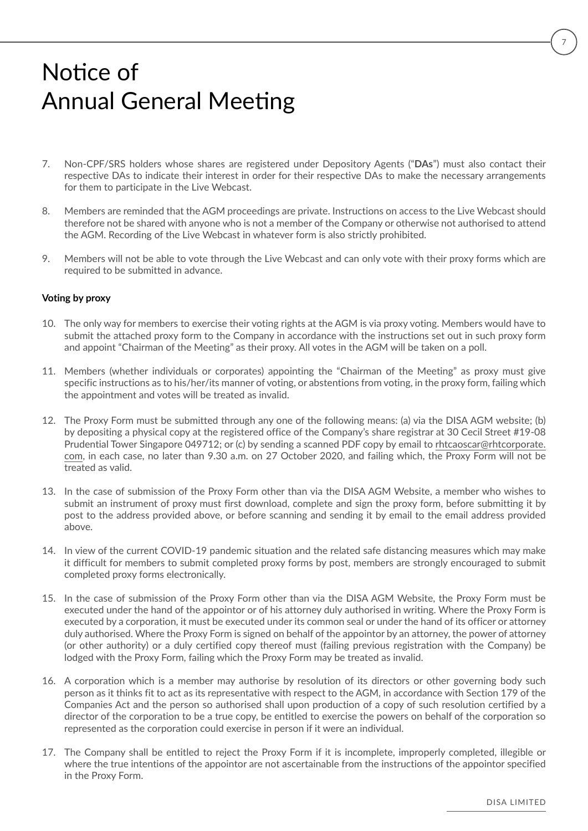- 7. Non-CPF/SRS holders whose shares are registered under Depository Agents ("**DAs**") must also contact their respective DAs to indicate their interest in order for their respective DAs to make the necessary arrangements for them to participate in the Live Webcast.
- 8. Members are reminded that the AGM proceedings are private. Instructions on access to the Live Webcast should therefore not be shared with anyone who is not a member of the Company or otherwise not authorised to attend the AGM. Recording of the Live Webcast in whatever form is also strictly prohibited.
- 9. Members will not be able to vote through the Live Webcast and can only vote with their proxy forms which are required to be submitted in advance.

#### **Voting by proxy**

- 10. The only way for members to exercise their voting rights at the AGM is via proxy voting. Members would have to submit the attached proxy form to the Company in accordance with the instructions set out in such proxy form and appoint "Chairman of the Meeting" as their proxy. All votes in the AGM will be taken on a poll.
- 11. Members (whether individuals or corporates) appointing the "Chairman of the Meeting" as proxy must give specific instructions as to his/her/its manner of voting, or abstentions from voting, in the proxy form, failing which the appointment and votes will be treated as invalid.
- 12. The Proxy Form must be submitted through any one of the following means: (a) via the DISA AGM website; (b) by depositing a physical copy at the registered office of the Company's share registrar at 30 Cecil Street #19-08 Prudential Tower Singapore 049712; or (c) by sending a scanned PDF copy by email to rhtcaoscar@rhtcorporate. com, in each case, no later than 9.30 a.m. on 27 October 2020, and failing which, the Proxy Form will not be treated as valid.
- 13. In the case of submission of the Proxy Form other than via the DISA AGM Website, a member who wishes to submit an instrument of proxy must first download, complete and sign the proxy form, before submitting it by post to the address provided above, or before scanning and sending it by email to the email address provided above.
- 14. In view of the current COVID-19 pandemic situation and the related safe distancing measures which may make it difficult for members to submit completed proxy forms by post, members are strongly encouraged to submit completed proxy forms electronically.
- 15. In the case of submission of the Proxy Form other than via the DISA AGM Website, the Proxy Form must be executed under the hand of the appointor or of his attorney duly authorised in writing. Where the Proxy Form is executed by a corporation, it must be executed under its common seal or under the hand of its officer or attorney duly authorised. Where the Proxy Form is signed on behalf of the appointor by an attorney, the power of attorney (or other authority) or a duly certified copy thereof must (failing previous registration with the Company) be lodged with the Proxy Form, failing which the Proxy Form may be treated as invalid.
- 16. A corporation which is a member may authorise by resolution of its directors or other governing body such person as it thinks fit to act as its representative with respect to the AGM, in accordance with Section 179 of the Companies Act and the person so authorised shall upon production of a copy of such resolution certified by a director of the corporation to be a true copy, be entitled to exercise the powers on behalf of the corporation so represented as the corporation could exercise in person if it were an individual.
- 17. The Company shall be entitled to reject the Proxy Form if it is incomplete, improperly completed, illegible or where the true intentions of the appointor are not ascertainable from the instructions of the appointor specified in the Proxy Form.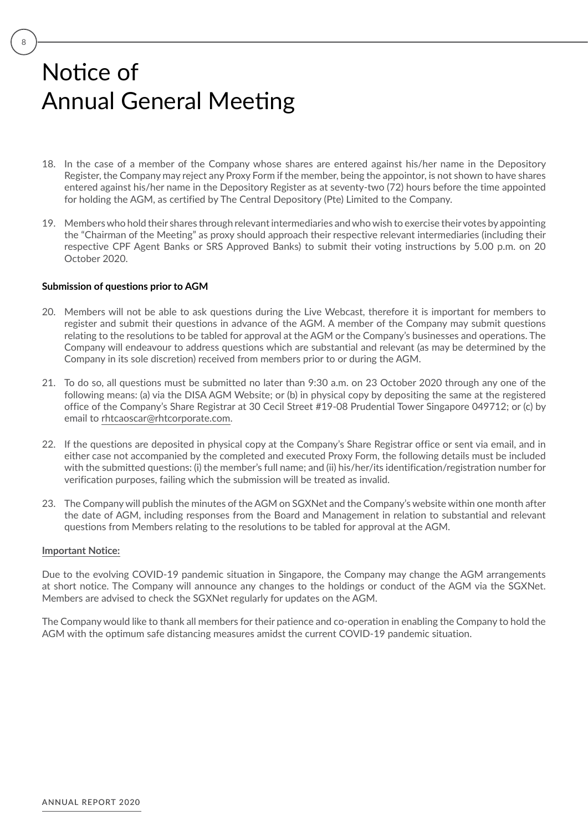- 18. In the case of a member of the Company whose shares are entered against his/her name in the Depository Register, the Company may reject any Proxy Form if the member, being the appointor, is not shown to have shares entered against his/her name in the Depository Register as at seventy-two (72) hours before the time appointed for holding the AGM, as certified by The Central Depository (Pte) Limited to the Company.
- 19. Members who hold their shares through relevant intermediaries and who wish to exercise their votes by appointing the "Chairman of the Meeting" as proxy should approach their respective relevant intermediaries (including their respective CPF Agent Banks or SRS Approved Banks) to submit their voting instructions by 5.00 p.m. on 20 October 2020.

#### **Submission of questions prior to AGM**

- 20. Members will not be able to ask questions during the Live Webcast, therefore it is important for members to register and submit their questions in advance of the AGM. A member of the Company may submit questions relating to the resolutions to be tabled for approval at the AGM or the Company's businesses and operations. The Company will endeavour to address questions which are substantial and relevant (as may be determined by the Company in its sole discretion) received from members prior to or during the AGM.
- 21. To do so, all questions must be submitted no later than 9:30 a.m. on 23 October 2020 through any one of the following means: (a) via the DISA AGM Website; or (b) in physical copy by depositing the same at the registered office of the Company's Share Registrar at 30 Cecil Street #19-08 Prudential Tower Singapore 049712; or (c) by email to rhtcaoscar@rhtcorporate.com.
- 22. If the questions are deposited in physical copy at the Company's Share Registrar office or sent via email, and in either case not accompanied by the completed and executed Proxy Form, the following details must be included with the submitted questions: (i) the member's full name; and (ii) his/her/its identification/registration number for verification purposes, failing which the submission will be treated as invalid.
- 23. The Company will publish the minutes of the AGM on SGXNet and the Company's website within one month after the date of AGM, including responses from the Board and Management in relation to substantial and relevant questions from Members relating to the resolutions to be tabled for approval at the AGM.

#### **Important Notice:**

Due to the evolving COVID-19 pandemic situation in Singapore, the Company may change the AGM arrangements at short notice. The Company will announce any changes to the holdings or conduct of the AGM via the SGXNet. Members are advised to check the SGXNet regularly for updates on the AGM.

The Company would like to thank all members for their patience and co-operation in enabling the Company to hold the AGM with the optimum safe distancing measures amidst the current COVID-19 pandemic situation.